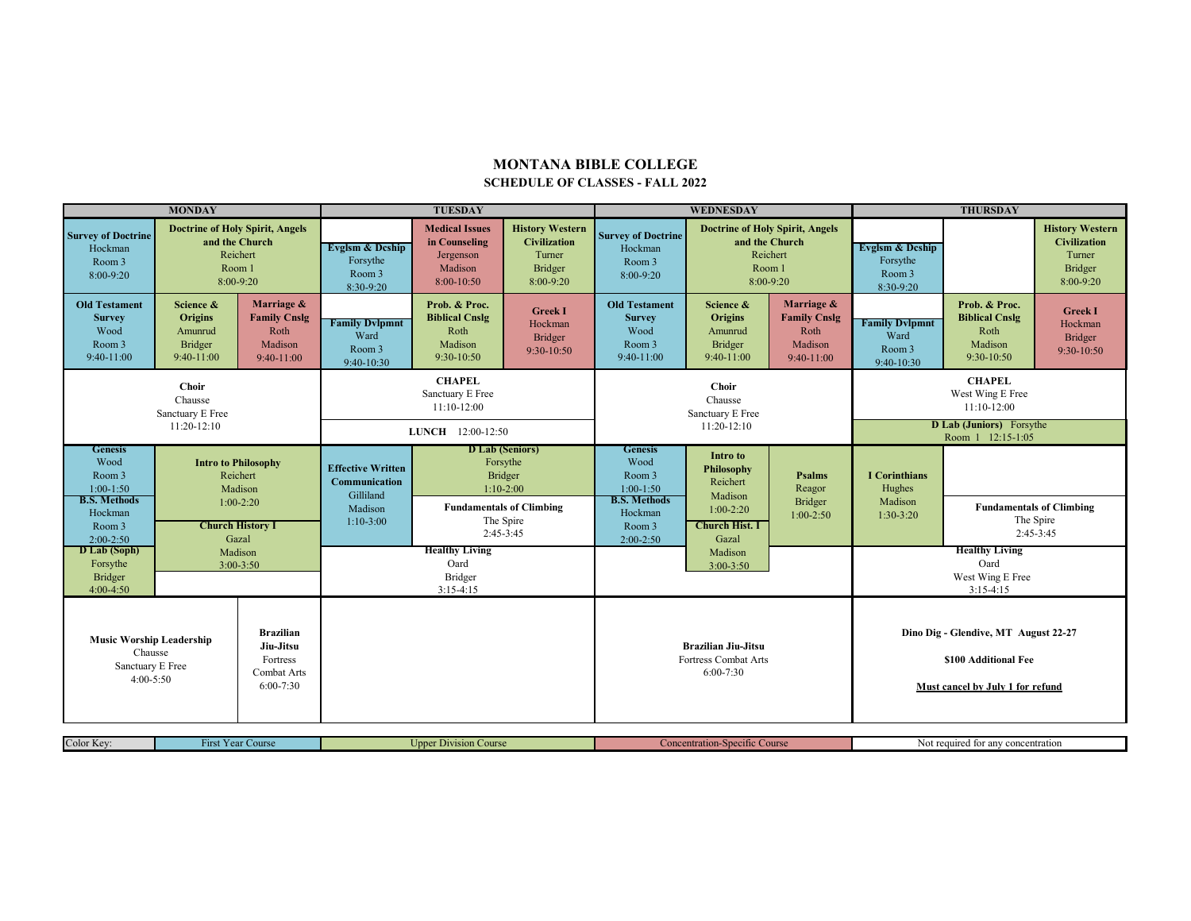## **MONTANA BIBLE COLLEGE SCHEDULE OF CLASSES - FALL 2022**

| <b>MONDAY</b>                                                                   |                                                                                                                                |                                                                       | <b>TUESDAY</b>                                                                      |                                                                                                                                                                          |                                                    | WEDNESDAY                                                                                                                                                                                                           |                                                                                               |                                                                      | <b>THURSDAY</b>                                                                                  |                                                                           |                                                                                 |
|---------------------------------------------------------------------------------|--------------------------------------------------------------------------------------------------------------------------------|-----------------------------------------------------------------------|-------------------------------------------------------------------------------------|--------------------------------------------------------------------------------------------------------------------------------------------------------------------------|----------------------------------------------------|---------------------------------------------------------------------------------------------------------------------------------------------------------------------------------------------------------------------|-----------------------------------------------------------------------------------------------|----------------------------------------------------------------------|--------------------------------------------------------------------------------------------------|---------------------------------------------------------------------------|---------------------------------------------------------------------------------|
| <b>Survey of Doctrine</b><br>Hockman<br>Room 3<br>$8:00-9:20$                   | <b>Doctrine of Holy Spirit, Angels</b><br>and the Church<br>Reichert<br>Room 1<br>$8:00-9:20$                                  |                                                                       | Evglsm & Deship<br>Forsythe<br>Room 3<br>8:30-9:20                                  | <b>History Western</b><br><b>Medical Issues</b><br><b>Civilization</b><br>in Counseling<br>Turner<br>Jergenson<br>Madison<br><b>Bridger</b><br>8:00-10:50<br>$8:00-9:20$ |                                                    | <b>Survey of Doctrine</b><br>Hockman<br>Room 3<br>8:00-9:20                                                                                                                                                         | <b>Doctrine of Holy Spirit, Angels</b><br>and the Church<br>Reichert<br>Room 1<br>$8:00-9:20$ |                                                                      | <b>Evglsm &amp; Deship</b><br>Forsythe<br>Room 3<br>8:30-9:20                                    |                                                                           | <b>History Western</b><br><b>Civilization</b><br>Turner<br>Bridger<br>8:00-9:20 |
| <b>Old Testament</b><br><b>Survey</b><br>Wood<br>Room 3<br>$9:40-11:00$         | Science &<br><b>Origins</b><br>Amunrud<br>Bridger<br>$9:40-11:00$                                                              | Marriage &<br><b>Family Cnslg</b><br>Roth<br>Madison<br>$9:40-11:00$  | <b>Family Dylpmnt</b><br>Ward<br>Room 3<br>9:40-10:30                               | Prob. & Proc.<br><b>Biblical Cnslg</b><br>Roth<br>Madison<br>$9:30-10:50$                                                                                                | <b>Greek I</b><br>Hockman<br>Bridger<br>9:30-10:50 | <b>Old Testament</b><br><b>Survey</b><br>Wood<br>Room 3<br>9:40-11:00                                                                                                                                               | Science &<br><b>Origins</b><br>Amunrud<br><b>Bridger</b><br>$9:40-11:00$                      | Marriage &<br><b>Family Cnslg</b><br>Roth<br>Madison<br>$9:40-11:00$ | <b>Family Dylpmnt</b><br>Ward<br>Room 3<br>9:40-10:30                                            | Prob. & Proc.<br><b>Biblical Cnslg</b><br>Roth<br>Madison<br>$9:30-10:50$ | <b>Greek I</b><br>Hockman<br><b>Bridger</b><br>9:30-10:50                       |
| <b>Choir</b><br>Chausse<br>Sanctuary E Free<br>11:20-12:10                      |                                                                                                                                |                                                                       | <b>CHAPEL</b><br>Sanctuary E Free<br>11:10-12:00                                    |                                                                                                                                                                          |                                                    | <b>Choir</b><br>Chausse<br>Sanctuary E Free<br>11:20-12:10                                                                                                                                                          |                                                                                               |                                                                      | <b>CHAPEL</b><br>West Wing E Free<br>11:10-12:00<br><b>D Lab (Juniors)</b> Forsythe              |                                                                           |                                                                                 |
|                                                                                 |                                                                                                                                |                                                                       | LUNCH 12:00-12:50                                                                   |                                                                                                                                                                          |                                                    |                                                                                                                                                                                                                     |                                                                                               |                                                                      | Room 1 12:15-1:05                                                                                |                                                                           |                                                                                 |
| <b>Genesis</b><br>Wood<br>Room 3<br>$1:00-1:50$                                 | <b>Intro to Philosophy</b><br>Reichert<br>Madison<br>$1:00-2:20$<br><b>Church History I</b><br>Gazal<br>Madison<br>$3:00-3:50$ |                                                                       | <b>Effective Written</b><br>Communication<br>Gilliland                              | <b>D</b> Lab (Seniors)<br>Forsythe<br>Bridger<br>$1:10-2:00$                                                                                                             |                                                    | <b>Genesis</b><br><b>Intro</b> to<br>Wood<br>Philosophy<br>Room 3<br>Reichert<br>$1:00-1:50$<br>Madison<br><b>B.S. Methods</b><br>$1:00-2:20$<br>Hockman<br><b>Church Hist. I</b><br>Room 3<br>Gazal<br>$2:00-2:50$ | <b>Psalms</b><br>Reagor                                                                       | <b>I</b> Corinthians<br>Hughes                                       |                                                                                                  |                                                                           |                                                                                 |
| <b>B.S. Methods</b><br>Hockman<br>Room 3<br>$2:00-2:50$                         |                                                                                                                                |                                                                       | <b>Fundamentals of Climbing</b><br>Madison<br>The Spire<br>$1:10-3:00$<br>2:45-3:45 |                                                                                                                                                                          |                                                    |                                                                                                                                                                                                                     |                                                                                               | <b>Bridger</b><br>$1:00-2:50$                                        | Madison<br>$1:30-3:20$                                                                           | <b>Fundamentals of Climbing</b><br>The Spire<br>$2:45-3:45$               |                                                                                 |
| D Lab (Soph)<br>Forsythe<br>Bridger<br>$4:00-4:50$                              |                                                                                                                                |                                                                       | <b>Healthy Living</b><br>Oard<br>Bridger<br>$3:15-4:15$                             |                                                                                                                                                                          |                                                    | Madison<br>$3:00-3:50$                                                                                                                                                                                              |                                                                                               | <b>Healthy Living</b><br>Oard<br>West Wing E Free<br>$3:15-4:15$     |                                                                                                  |                                                                           |                                                                                 |
| <b>Music Worship Leadership</b><br>Chausse<br>Sanctuary E Free<br>$4:00 - 5:50$ |                                                                                                                                | <b>Brazilian</b><br>Jiu-Jitsu<br>Fortress<br>Combat Arts<br>6:00-7:30 |                                                                                     |                                                                                                                                                                          |                                                    | <b>Brazilian Jiu-Jitsu</b><br>Fortress Combat Arts<br>$6:00 - 7:30$                                                                                                                                                 |                                                                                               |                                                                      | Dino Dig - Glendive, MT August 22-27<br>\$100 Additional Fee<br>Must cancel by July 1 for refund |                                                                           |                                                                                 |
| Color Kev:<br><b>First Year Course</b>                                          |                                                                                                                                | <b>Upper Division Course</b>                                          |                                                                                     |                                                                                                                                                                          | <b>Concentration-Specific Course</b>               |                                                                                                                                                                                                                     |                                                                                               | Not required for any concentration                                   |                                                                                                  |                                                                           |                                                                                 |